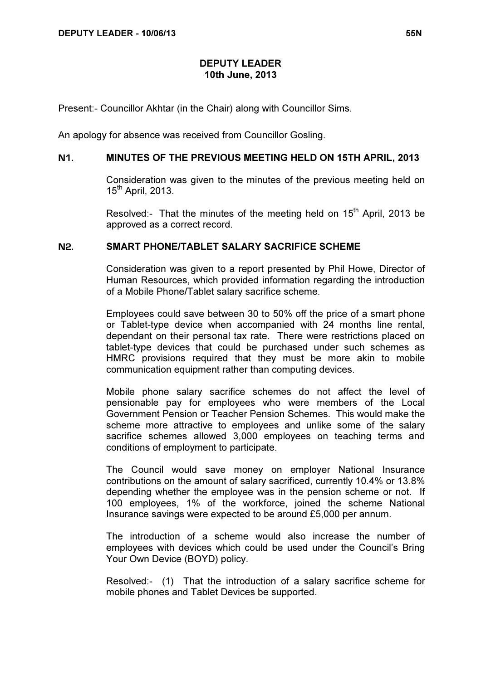## DEPUTY LEADER 10th June, 2013

Present:- Councillor Akhtar (in the Chair) along with Councillor Sims.

An apology for absence was received from Councillor Gosling.

### N1. MINUTES OF THE PREVIOUS MEETING HELD ON 15TH APRIL, 2013

 Consideration was given to the minutes of the previous meeting held on  $15^{th}$  April, 2013.

Resolved:- That the minutes of the meeting held on  $15<sup>th</sup>$  April, 2013 be approved as a correct record.

## N2. SMART PHONE/TABLET SALARY SACRIFICE SCHEME

 Consideration was given to a report presented by Phil Howe, Director of Human Resources, which provided information regarding the introduction of a Mobile Phone/Tablet salary sacrifice scheme.

Employees could save between 30 to 50% off the price of a smart phone or Tablet-type device when accompanied with 24 months line rental, dependant on their personal tax rate. There were restrictions placed on tablet-type devices that could be purchased under such schemes as HMRC provisions required that they must be more akin to mobile communication equipment rather than computing devices.

Mobile phone salary sacrifice schemes do not affect the level of pensionable pay for employees who were members of the Local Government Pension or Teacher Pension Schemes. This would make the scheme more attractive to employees and unlike some of the salary sacrifice schemes allowed 3,000 employees on teaching terms and conditions of employment to participate.

The Council would save money on employer National Insurance contributions on the amount of salary sacrificed, currently 10.4% or 13.8% depending whether the employee was in the pension scheme or not. If 100 employees, 1% of the workforce, joined the scheme National Insurance savings were expected to be around £5,000 per annum.

The introduction of a scheme would also increase the number of employees with devices which could be used under the Council's Bring Your Own Device (BOYD) policy.

Resolved:- (1) That the introduction of a salary sacrifice scheme for mobile phones and Tablet Devices be supported.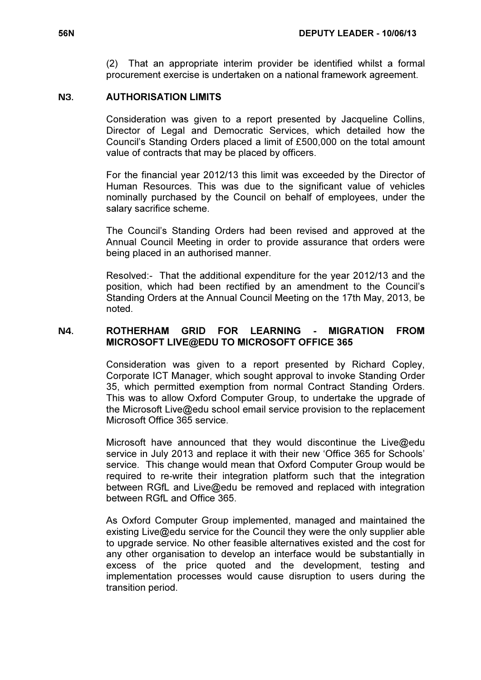(2) That an appropriate interim provider be identified whilst a formal procurement exercise is undertaken on a national framework agreement.

#### N3. AUTHORISATION LIMITS

 Consideration was given to a report presented by Jacqueline Collins, Director of Legal and Democratic Services, which detailed how the Council's Standing Orders placed a limit of £500,000 on the total amount value of contracts that may be placed by officers.

For the financial year 2012/13 this limit was exceeded by the Director of Human Resources. This was due to the significant value of vehicles nominally purchased by the Council on behalf of employees, under the salary sacrifice scheme.

The Council's Standing Orders had been revised and approved at the Annual Council Meeting in order to provide assurance that orders were being placed in an authorised manner.

Resolved:- That the additional expenditure for the year 2012/13 and the position, which had been rectified by an amendment to the Council's Standing Orders at the Annual Council Meeting on the 17th May, 2013, be noted.

# N4. ROTHERHAM GRID FOR LEARNING - MIGRATION FROM MICROSOFT LIVE@EDU TO MICROSOFT OFFICE 365

 Consideration was given to a report presented by Richard Copley, Corporate ICT Manager, which sought approval to invoke Standing Order 35, which permitted exemption from normal Contract Standing Orders. This was to allow Oxford Computer Group, to undertake the upgrade of the Microsoft Live@edu school email service provision to the replacement Microsoft Office 365 service.

Microsoft have announced that they would discontinue the Live@edu service in July 2013 and replace it with their new 'Office 365 for Schools' service. This change would mean that Oxford Computer Group would be required to re-write their integration platform such that the integration between RGfL and Live@edu be removed and replaced with integration between RGfL and Office 365.

As Oxford Computer Group implemented, managed and maintained the existing Live@edu service for the Council they were the only supplier able to upgrade service. No other feasible alternatives existed and the cost for any other organisation to develop an interface would be substantially in excess of the price quoted and the development, testing and implementation processes would cause disruption to users during the transition period.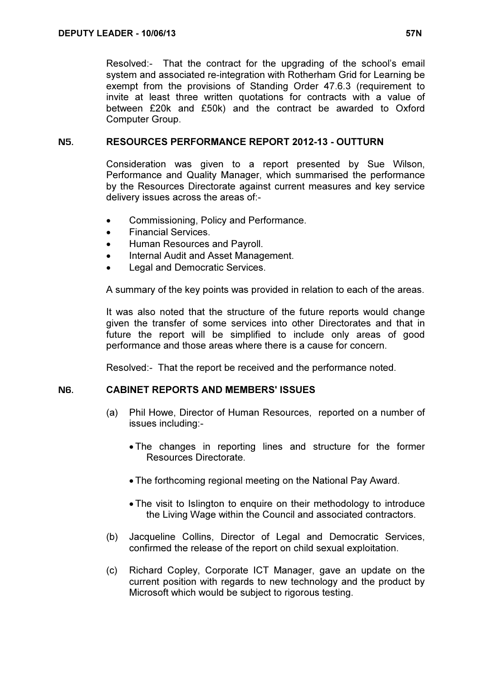Resolved:- That the contract for the upgrading of the school's email system and associated re-integration with Rotherham Grid for Learning be exempt from the provisions of Standing Order 47.6.3 (requirement to invite at least three written quotations for contracts with a value of between £20k and £50k) and the contract be awarded to Oxford Computer Group.

## N5. RESOURCES PERFORMANCE REPORT 2012-13 - OUTTURN

 Consideration was given to a report presented by Sue Wilson, Performance and Quality Manager, which summarised the performance by the Resources Directorate against current measures and key service delivery issues across the areas of:-

- Commissioning, Policy and Performance.
- Financial Services.
- Human Resources and Payroll.
- Internal Audit and Asset Management.
- Legal and Democratic Services.

A summary of the key points was provided in relation to each of the areas.

It was also noted that the structure of the future reports would change given the transfer of some services into other Directorates and that in future the report will be simplified to include only areas of good performance and those areas where there is a cause for concern.

Resolved:- That the report be received and the performance noted.

## N6. CABINET REPORTS AND MEMBERS' ISSUES

- (a) Phil Howe, Director of Human Resources, reported on a number of issues including:-
	- The changes in reporting lines and structure for the former Resources Directorate.
	- The forthcoming regional meeting on the National Pay Award.
	- The visit to Islington to enquire on their methodology to introduce the Living Wage within the Council and associated contractors.
- (b) Jacqueline Collins, Director of Legal and Democratic Services, confirmed the release of the report on child sexual exploitation.
- (c) Richard Copley, Corporate ICT Manager, gave an update on the current position with regards to new technology and the product by Microsoft which would be subject to rigorous testing.